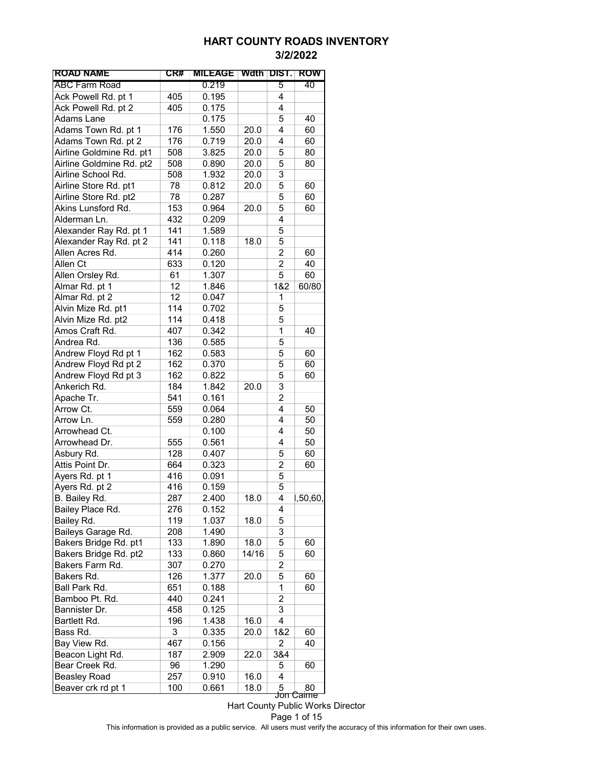| <b>ROAD NAME</b>         | CR# | <b>MILEAGE</b> |       | Wdth DIST.                | ROW      |
|--------------------------|-----|----------------|-------|---------------------------|----------|
| <b>ABC Farm Road</b>     |     | 0.219          |       | 5                         | 40       |
| Ack Powell Rd. pt 1      | 405 | 0.195          |       | 4                         |          |
| Ack Powell Rd. pt 2      | 405 | 0.175          |       | 4                         |          |
| Adams Lane               |     | 0.175          |       | 5                         | 40       |
| Adams Town Rd. pt 1      | 176 | 1.550          | 20.0  | 4                         | 60       |
| Adams Town Rd. pt 2      | 176 | 0.719          | 20.0  | 4                         | 60       |
| Airline Goldmine Rd. pt1 | 508 | 3.825          | 20.0  | 5                         | 80       |
| Airline Goldmine Rd. pt2 | 508 | 0.890          | 20.0  | 5                         | 80       |
| Airline School Rd.       | 508 | 1.932          | 20.0  | 3                         |          |
| Airline Store Rd. pt1    | 78  | 0.812          | 20.0  | 5                         | 60       |
| Airline Store Rd. pt2    | 78  | 0.287          |       | 5                         | 60       |
| Akins Lunsford Rd.       | 153 | 0.964          | 20.0  | 5                         | 60       |
| Alderman Ln.             | 432 | 0.209          |       | 4                         |          |
| Alexander Ray Rd. pt 1   | 141 | 1.589          |       | 5                         |          |
| Alexander Ray Rd. pt 2   | 141 | 0.118          | 18.0  | 5                         |          |
| Allen Acres Rd.          | 414 | 0.260          |       | $\overline{c}$            | 60       |
| Allen Ct                 |     |                |       | $\overline{c}$            | 40       |
|                          | 633 | 0.120<br>1.307 |       | 5                         | 60       |
| Allen Orsley Rd.         | 61  |                |       |                           |          |
| Almar Rd. pt 1           | 12  | 1.846          |       | 1&2                       | 60/80    |
| Almar Rd. pt 2           | 12  | 0.047          |       | 1                         |          |
| Alvin Mize Rd. pt1       | 114 | 0.702          |       | 5                         |          |
| Alvin Mize Rd. pt2       | 114 | 0.418          |       | 5                         |          |
| Amos Craft Rd.           | 407 | 0.342          |       | 1                         | 40       |
| Andrea Rd.               | 136 | 0.585          |       | 5                         |          |
| Andrew Floyd Rd pt 1     | 162 | 0.583          |       | 5                         | 60       |
| Andrew Floyd Rd pt 2     | 162 | 0.370          |       | 5                         | 60       |
| Andrew Floyd Rd pt 3     | 162 | 0.822          |       | 5                         | 60       |
| Ankerich Rd.             | 184 | 1.842          | 20.0  | 3                         |          |
| Apache Tr.               | 541 | 0.161          |       | $\overline{c}$            |          |
| Arrow Ct.                | 559 | 0.064          |       | 4                         | 50       |
| Arrow Ln.                | 559 | 0.280          |       | 4                         | 50       |
| Arrowhead Ct.            |     | 0.100          |       | 4                         | 50       |
| Arrowhead Dr.            | 555 | 0.561          |       | 4                         | 50       |
| Asbury Rd.               | 128 | 0.407          |       | 5                         | 60       |
| Attis Point Dr.          | 664 | 0.323          |       | 2                         | 60       |
| Ayers Rd. pt 1           | 416 | 0.091          |       | 5                         |          |
| Ayers Rd. pt 2           | 416 | 0.159          |       | 5                         |          |
| B. Bailey Rd.            | 287 | 2.400          | 18.0  | 4                         | 1,50,60, |
| Bailey Place Rd.         | 276 | 0.152          |       | 4                         |          |
| Bailey Rd.               | 119 | 1.037          | 18.0  | 5                         |          |
| Baileys Garage Rd.       | 208 | 1.490          |       | 3                         |          |
| Bakers Bridge Rd. pt1    | 133 | 1.890          | 18.0  | 5                         | 60       |
| Bakers Bridge Rd. pt2    | 133 | 0.860          | 14/16 | 5                         | 60       |
| Bakers Farm Rd.          | 307 | 0.270          |       | 2                         |          |
|                          | 126 |                |       | 5                         |          |
| Bakers Rd.               |     | 1.377          | 20.0  |                           | 60       |
| Ball Park Rd.            | 651 | 0.188          |       | 1                         | 60       |
| Bamboo Pt. Rd.           | 440 | 0.241          |       | 2                         |          |
| Bannister Dr.            | 458 | 0.125          |       | 3                         |          |
| Bartlett Rd.             | 196 | 1.438          | 16.0  | 4                         |          |
| Bass Rd.                 | 3   | 0.335          | 20.0  | 1&2                       | 60       |
| Bay View Rd.             | 467 | 0.156          |       | 2                         | 40       |
| Beacon Light Rd.         | 187 | 2.909          | 22.0  | 3&4                       |          |
| Bear Creek Rd.           | 96  | 1.290          |       | 5                         | 60       |
| <b>Beasley Road</b>      | 257 | 0.910          | 16.0  | 4                         |          |
| Beaver crk rd pt 1       | 100 | 0.661          | 18.0  | 5<br><del>Jon Caime</del> | 80       |

Hart County Public Works Director

Page 1 of 15

This information is provided as a public service. All users must verify the accuracy of this information for their own uses.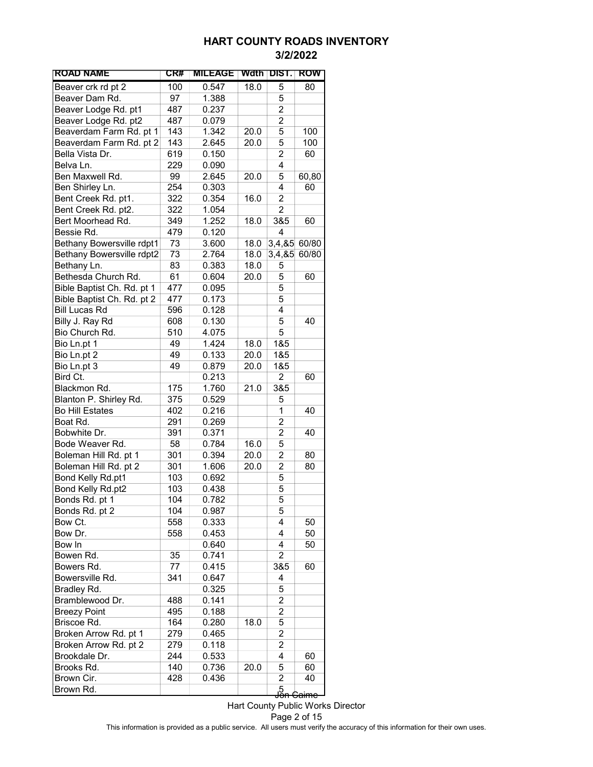| <b>ROAD NAME</b>                 | CR# | <b>MILEAGE</b> | Wdth | <b>DIST.</b>            | ROW              |
|----------------------------------|-----|----------------|------|-------------------------|------------------|
| Beaver crk rd pt 2               | 100 | 0.547          | 18.0 | 5                       | 80               |
| Beaver Dam Rd.                   | 97  | 1.388          |      | 5                       |                  |
| Beaver Lodge Rd. pt1             | 487 | 0.237          |      | 2                       |                  |
| Beaver Lodge Rd. pt2             | 487 | 0.079          |      | 2                       |                  |
| Beaverdam Farm Rd. pt 1          | 143 | 1.342          | 20.0 | 5                       | 100              |
| Beaverdam Farm Rd. pt 2          | 143 | 2.645          | 20.0 | 5                       | 100              |
| Bella Vista Dr.                  | 619 | 0.150          |      | $\overline{c}$          | 60               |
| Belva Ln.                        | 229 | 0.090          |      | 4                       |                  |
| Ben Maxwell Rd.                  | 99  | 2.645          | 20.0 | 5                       | 60,80            |
| Ben Shirley Ln.                  | 254 | 0.303          |      | 4                       | 60               |
| Bent Creek Rd. pt1.              | 322 | 0.354          | 16.0 | 2                       |                  |
| Bent Creek Rd. pt2.              | 322 | 1.054          |      | 2                       |                  |
| Bert Moorhead Rd.                | 349 | 1.252          | 18.0 | 3&5                     | 60               |
| Bessie Rd.                       | 479 | 0.120          |      | 4                       |                  |
| Bethany Bowersville rdpt1        | 73  | 3.600          | 18.0 | 3,4,85                  | 60/80            |
| <b>Bethany Bowersville rdpt2</b> | 73  | 2.764          | 18.0 | 3,4,85                  | 60/80            |
| Bethany Ln.                      | 83  | 0.383          | 18.0 | 5                       |                  |
| Bethesda Church Rd.              | 61  | 0.604          | 20.0 | 5                       | 60               |
| Bible Baptist Ch. Rd. pt 1       | 477 | 0.095          |      | 5                       |                  |
| Bible Baptist Ch. Rd. pt 2       | 477 | 0.173          |      | 5                       |                  |
| <b>Bill Lucas Rd</b>             | 596 | 0.128          |      | 4                       |                  |
| Billy J. Ray Rd                  | 608 | 0.130          |      | 5                       | 40               |
| Bio Church Rd.                   | 510 | 4.075          |      | 5                       |                  |
| Bio Ln.pt 1                      | 49  | 1.424          | 18.0 | 1&5                     |                  |
| Bio Ln.pt 2                      | 49  | 0.133          | 20.0 | 1&5                     |                  |
| Bio Ln.pt 3                      | 49  | 0.879          | 20.0 | 1&5                     |                  |
| Bird Ct.                         |     | 0.213          |      | 2                       | 60               |
| Blackmon Rd.                     | 175 | 1.760          | 21.0 | 3&5                     |                  |
| Blanton P. Shirley Rd.           | 375 | 0.529          |      | 5                       |                  |
| <b>Bo Hill Estates</b>           | 402 | 0.216          |      | 1                       | 40               |
| Boat Rd.                         | 291 | 0.269          |      | $\overline{2}$          |                  |
| Bobwhite Dr.                     | 391 | 0.371          |      | $\overline{c}$          | 40               |
| Bode Weaver Rd.                  | 58  | 0.784          | 16.0 | 5                       |                  |
| Boleman Hill Rd. pt 1            | 301 | 0.394          | 20.0 | 2                       | 80               |
| Boleman Hill Rd. pt 2            | 301 | 1.606          | 20.0 | $\overline{\mathbf{c}}$ | 80               |
| Bond Kelly Rd.pt1                | 103 | 0.692          |      | 5                       |                  |
| Bond Kelly Rd.pt2                | 103 | 0.438          |      | 5                       |                  |
| Bonds Rd. pt 1                   | 104 | 0.782          |      | $\bar{\mathbf{5}}$      |                  |
| Bonds Rd. pt 2                   | 104 | 0.987          |      | 5                       |                  |
| Bow Ct.                          | 558 | 0.333          |      | 4                       | 50               |
| Bow Dr.                          | 558 | 0.453          |      | 4                       | 50               |
| Bow In                           |     | 0.640          |      | 4                       | 50               |
| Bowen Rd.                        | 35  | 0.741          |      | $\overline{2}$          |                  |
| Bowers Rd.                       | 77  | 0.415          |      | 3&5                     | 60               |
| Bowersville Rd.                  | 341 | 0.647          |      | 4                       |                  |
| Bradley Rd.                      |     | 0.325          |      | 5                       |                  |
| Bramblewood Dr.                  | 488 | 0.141          |      | $\overline{2}$          |                  |
| <b>Breezy Point</b>              | 495 | 0.188          |      | 2                       |                  |
| Briscoe Rd.                      | 164 | 0.280          | 18.0 | 5                       |                  |
| Broken Arrow Rd. pt 1            | 279 | 0.465          |      | 2                       |                  |
| Broken Arrow Rd. pt 2            | 279 | 0.118          |      | 2                       |                  |
| Brookdale Dr.                    | 244 | 0.533          |      | 4                       | 60               |
| Brooks Rd.                       | 140 | 0.736          | 20.0 | 5                       | 60               |
| Brown Cir.                       | 428 | 0.436          |      | $\overline{c}$          | 40               |
| Brown Rd.                        |     |                |      | Jon<br>Jon              |                  |
|                                  |     |                |      |                         | <del>Gaimc</del> |

Hart County Public Works Director Page 2 of 15 This information is provided as a public service. All users must verify the accuracy of this information for their own uses.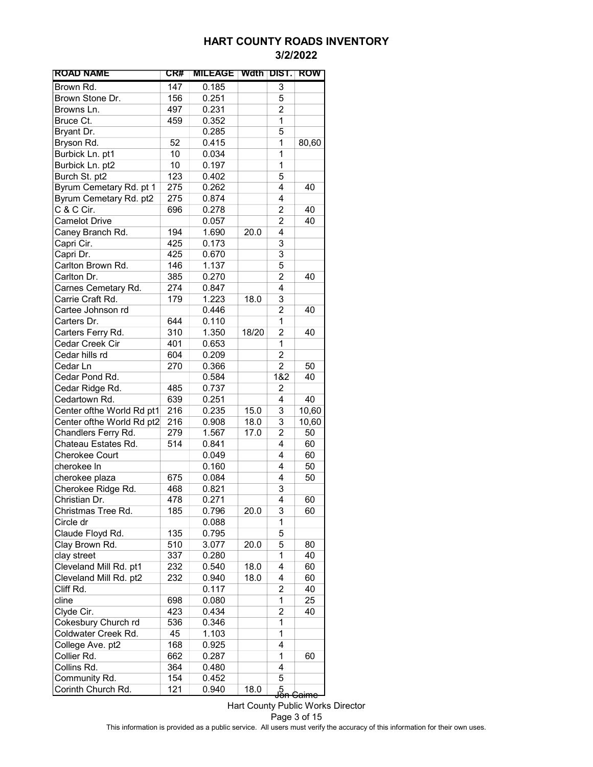| <b>ROAD NAME</b>          | CR# | <b>MILEAGE</b> |       | Wath DIST.     | ROW                         |
|---------------------------|-----|----------------|-------|----------------|-----------------------------|
| Brown Rd.                 | 147 | 0.185          |       | 3              |                             |
| Brown Stone Dr.           | 156 | 0.251          |       | 5              |                             |
| Browns Ln.                | 497 | 0.231          |       | $\overline{2}$ |                             |
| Bruce Ct.                 | 459 | 0.352          |       | 1              |                             |
| Bryant Dr.                |     | 0.285          |       | 5              |                             |
| Bryson Rd.                | 52  | 0.415          |       | 1              | 80,60                       |
| Burbick Ln. pt1           | 10  | 0.034          |       | 1              |                             |
| Burbick Ln. pt2           | 10  | 0.197          |       | 1              |                             |
| Burch St. pt2             | 123 | 0.402          |       | 5              |                             |
| Byrum Cemetary Rd. pt 1   | 275 | 0.262          |       | 4              | 40                          |
| Byrum Cemetary Rd. pt2    | 275 | 0.874          |       | 4              |                             |
| C & C Cir.                | 696 | 0.278          |       | 2              | 40                          |
| <b>Camelot Drive</b>      |     | 0.057          |       | $\overline{2}$ | 40                          |
| Caney Branch Rd.          | 194 | 1.690          | 20.0  | 4              |                             |
| Capri Cir.                | 425 | 0.173          |       | 3              |                             |
| Capri Dr.                 | 425 | 0.670          |       | 3              |                             |
| Carlton Brown Rd.         | 146 | 1.137          |       | 5              |                             |
| Carlton Dr.               | 385 | 0.270          |       | $\overline{c}$ | 40                          |
| Carnes Cemetary Rd.       | 274 | 0.847          |       | 4              |                             |
| Carrie Craft Rd.          | 179 | 1.223          | 18.0  | 3              |                             |
| Cartee Johnson rd         |     | 0.446          |       | 2              | 40                          |
| Carters Dr.               | 644 | 0.110          |       | 1              |                             |
| Carters Ferry Rd.         | 310 | 1.350          | 18/20 | 2              | 40                          |
| Cedar Creek Cir           | 401 | 0.653          |       | 1              |                             |
| Cedar hills rd            | 604 | 0.209          |       | 2              |                             |
| Cedar Ln                  | 270 | 0.366          |       | $\overline{c}$ | 50                          |
| Cedar Pond Rd.            |     | 0.584          |       | 1&2            | 40                          |
| Cedar Ridge Rd.           | 485 | 0.737          |       | 2              |                             |
| Cedartown Rd.             | 639 | 0.251          |       | 4              | 40                          |
| Center ofthe World Rd pt1 | 216 | 0.235          | 15.0  | 3              | 10,60                       |
| Center ofthe World Rd pt2 | 216 | 0.908          | 18.0  | 3              | 10,60                       |
| Chandlers Ferry Rd.       | 279 | 1.567          | 17.0  | $\overline{c}$ | 50                          |
| Chateau Estates Rd.       | 514 | 0.841          |       | 4              | 60                          |
| <b>Cherokee Court</b>     |     | 0.049          |       | 4              | 60                          |
| cherokee In               |     | 0.160          |       | 4              | 50                          |
| cherokee plaza            | 675 | 0.084          |       | 4              | 50                          |
| Cherokee Ridge Rd.        | 468 | 0.821          |       | 3              |                             |
| Christian Dr.             | 478 | 0.271          |       | 4              | 60                          |
| Christmas Tree Rd.        | 185 | 0.796          | 20.0  | 3              | 60                          |
| Circle dr                 |     | 0.088          |       | 1              |                             |
| Claude Floyd Rd.          | 135 | 0.795          |       | 5              |                             |
| Clay Brown Rd.            | 510 | 3.077          | 20.0  | 5              | 80                          |
| clay street               | 337 | 0.280          |       | 1              | 40                          |
| Cleveland Mill Rd. pt1    | 232 | 0.540          | 18.0  | 4              | 60                          |
| Cleveland Mill Rd. pt2    | 232 | 0.940          | 18.0  | 4              | 60                          |
| Cliff Rd.                 |     | 0.117          |       | 2              | 40                          |
| cline                     | 698 | 0.080          |       | 1              | 25                          |
| Clyde Cir.                | 423 | 0.434          |       | 2              | 40                          |
| Cokesbury Church rd       | 536 | 0.346          |       | 1              |                             |
| Coldwater Creek Rd.       | 45  | 1.103          |       | 1              |                             |
| College Ave. pt2          | 168 | 0.925          |       | 4              |                             |
| Collier Rd.               | 662 | 0.287          |       | 1              | 60                          |
| Collins Rd.               | 364 | 0.480          |       | 4              |                             |
| Community Rd.             | 154 | 0.452          |       | 5              |                             |
| Corinth Church Rd.        | 121 | 0.940          | 18.0  |                | .5<br><del>Jon Caim</del> e |
|                           |     |                |       |                |                             |

Hart County Public Works Director Page 3 of 15 This information is provided as a public service. All users must verify the accuracy of this information for their own uses.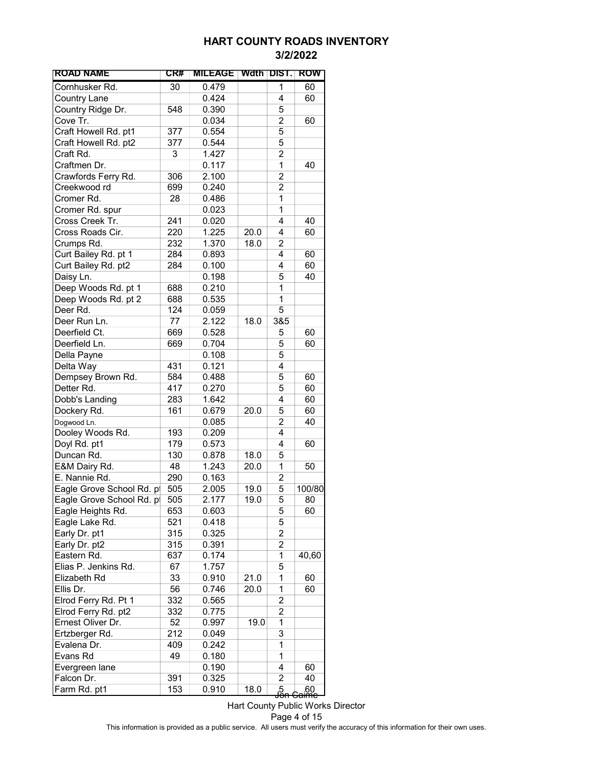| <b>ROAD NAME</b>         | CR# | <b>MILEAGE</b> | Wath DIST. |                         | ROW                   |
|--------------------------|-----|----------------|------------|-------------------------|-----------------------|
| Cornhusker Rd.           | 30  | 0.479          |            | 1                       | 60                    |
| <b>Country Lane</b>      |     | 0.424          |            | 4                       | 60                    |
| Country Ridge Dr.        | 548 | 0.390          |            | 5                       |                       |
| Cove Tr.                 |     | 0.034          |            | $\overline{2}$          | 60                    |
| Craft Howell Rd. pt1     | 377 | 0.554          |            | 5                       |                       |
| Craft Howell Rd. pt2     | 377 | 0.544          |            | 5                       |                       |
| Craft Rd.                | 3   | 1.427          |            | $\overline{2}$          |                       |
| Craftmen Dr.             |     | 0.117          |            | 1                       | 40                    |
| Crawfords Ferry Rd.      | 306 | 2.100          |            | 2                       |                       |
| Creekwood rd             | 699 | 0.240          |            | 2                       |                       |
| Cromer Rd.               | 28  | 0.486          |            | 1                       |                       |
| Cromer Rd. spur          |     | 0.023          |            | 1                       |                       |
| Cross Creek Tr.          | 241 | 0.020          |            | 4                       | 40                    |
| Cross Roads Cir.         | 220 | 1.225          | 20.0       | 4                       | 60                    |
| Crumps Rd.               | 232 | 1.370          | 18.0       | 2                       |                       |
| Curt Bailey Rd. pt 1     | 284 | 0.893          |            | 4                       | 60                    |
| Curt Bailey Rd. pt2      | 284 | 0.100          |            | 4                       | 60                    |
| Daisy Ln.                |     | 0.198          |            | 5                       | 40                    |
| Deep Woods Rd. pt 1      | 688 | 0.210          |            | 1                       |                       |
| Deep Woods Rd. pt 2      | 688 | 0.535          |            | $\mathbf{1}$            |                       |
| Deer Rd.                 | 124 |                |            | 5                       |                       |
|                          | 77  | 0.059          |            |                         |                       |
| Deer Run Ln.             |     | 2.122          | 18.0       | 3&5                     |                       |
| Deerfield Ct.            | 669 | 0.528          |            | 5                       | 60                    |
| Deerfield Ln.            | 669 | 0.704          |            | 5                       | 60                    |
| Della Payne              |     | 0.108          |            | 5                       |                       |
| Delta Way                | 431 | 0.121          |            | 4                       |                       |
| Dempsey Brown Rd.        | 584 | 0.488          |            | 5                       | 60                    |
| Detter Rd.               | 417 | 0.270          |            | 5                       | 60                    |
| Dobb's Landing           | 283 | 1.642          |            | 4                       | 60                    |
| Dockery Rd.              | 161 | 0.679          | 20.0       | 5                       | 60                    |
| Dogwood Ln.              |     | 0.085          |            | $\overline{c}$          | 40                    |
| Dooley Woods Rd.         | 193 | 0.209          |            | 4                       |                       |
| Doyl Rd. pt1             | 179 | 0.573          |            | 4                       | 60                    |
| Duncan Rd.               | 130 | 0.878          | 18.0       | 5                       |                       |
| E&M Dairy Rd.            | 48  | 1.243          | 20.0       | 1                       | 50                    |
| E. Nannie Rd.            | 290 | 0.163          |            | 2                       |                       |
| Eagle Grove School Rd. p | 505 | 2.005          | 19.0       | 5                       | 100/80                |
| Eagle Grove School Rd. p | 505 | 2.177          | 19.0       | 5                       | 80                    |
| Eagle Heights Rd.        | 653 | 0.603          |            | 5                       | 60                    |
| Eagle Lake Rd.           | 521 | 0.418          |            | 5                       |                       |
| Early Dr. pt1            | 315 | 0.325          |            | $\overline{2}$          |                       |
| Early Dr. pt2            | 315 | 0.391          |            | $\overline{c}$          |                       |
| Eastern Rd.              | 637 | 0.174          |            | $\mathbf{1}$            | 40,60                 |
| Elias P. Jenkins Rd.     | 67  | 1.757          |            | 5                       |                       |
| Elizabeth Rd             | 33  | 0.910          | 21.0       | 1                       | 60                    |
| Ellis Dr.                | 56  | 0.746          | 20.0       | 1                       | 60                    |
| Elrod Ferry Rd. Pt 1     | 332 | 0.565          |            | $\overline{\mathbf{c}}$ |                       |
| Elrod Ferry Rd. pt2      | 332 | 0.775          |            | 2                       |                       |
| Ernest Oliver Dr.        | 52  | 0.997          | 19.0       | 1                       |                       |
| Ertzberger Rd.           | 212 | 0.049          |            | 3                       |                       |
| Evalena Dr.              | 409 | 0.242          |            | 1                       |                       |
| Evans Rd                 | 49  | 0.180          |            | 1                       |                       |
| Evergreen lane           |     | 0.190          |            | 4                       | 60                    |
| Falcon Dr.               | 391 | 0.325          |            | $\overline{c}$          | 40                    |
| Farm Rd. pt1             | 153 | 0.910          | 18.0       |                         |                       |
|                          |     |                |            | ,5<br>Jon               | 60<br><del>aime</del> |

Hart County Public Works Director Page 4 of 15 This information is provided as a public service. All users must verify the accuracy of this information for their own uses.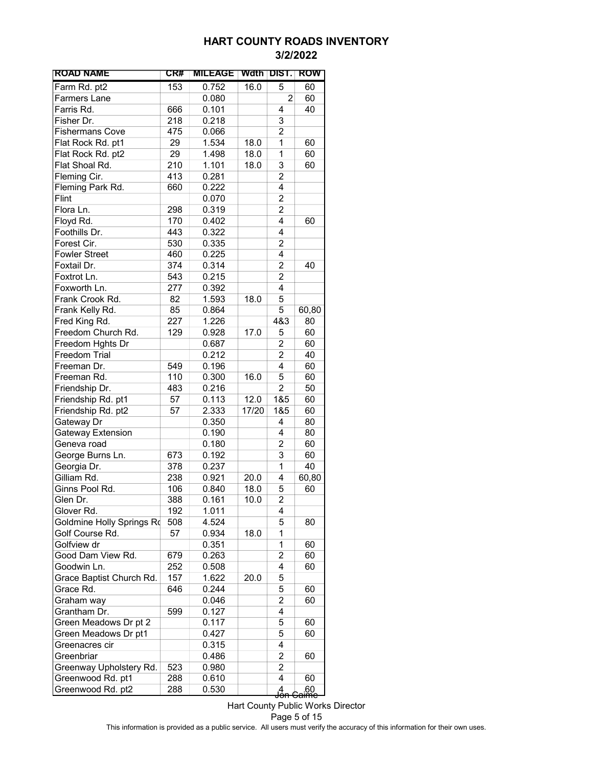| <b>ROAD NAME</b>          | CR# | <b>MILEAGE</b> | Wdth  | <b>DIST.</b>   | ROW                       |
|---------------------------|-----|----------------|-------|----------------|---------------------------|
| Farm Rd. pt2              | 153 | 0.752          | 16.0  | 5              | 60                        |
| <b>Farmers Lane</b>       |     | 0.080          |       | $\overline{2}$ | 60                        |
| Farris Rd.                | 666 | 0.101          |       | 4              | 40                        |
| Fisher Dr.                | 218 | 0.218          |       | 3              |                           |
| <b>Fishermans Cove</b>    | 475 | 0.066          |       | $\overline{2}$ |                           |
| Flat Rock Rd. pt1         | 29  | 1.534          | 18.0  | 1              | 60                        |
| Flat Rock Rd. pt2         | 29  | 1.498          | 18.0  | 1              | 60                        |
| Flat Shoal Rd.            | 210 | 1.101          | 18.0  | 3              | 60                        |
| Fleming Cir.              | 413 | 0.281          |       | $\overline{2}$ |                           |
| Fleming Park Rd.          | 660 | 0.222          |       | 4              |                           |
| Flint                     |     | 0.070          |       | $\overline{c}$ |                           |
| Flora Ln.                 | 298 | 0.319          |       | $\overline{c}$ |                           |
| Floyd Rd.                 | 170 | 0.402          |       | 4              | 60                        |
| Foothills Dr.             | 443 | 0.322          |       | 4              |                           |
| Forest Cir.               | 530 | 0.335          |       | 2              |                           |
| <b>Fowler Street</b>      | 460 | 0.225          |       | 4              |                           |
| Foxtail Dr.               | 374 | 0.314          |       | 2              | 40                        |
| Foxtrot Ln.               | 543 | 0.215          |       | $\overline{2}$ |                           |
| Foxworth Ln.              | 277 | 0.392          |       | 4              |                           |
| Frank Crook Rd.           | 82  | 1.593          | 18.0  | 5              |                           |
| Frank Kelly Rd.           | 85  | 0.864          |       | 5              | 60,80                     |
| Fred King Rd.             | 227 | 1.226          |       | 4&3            | 80                        |
| Freedom Church Rd.        | 129 | 0.928          | 17.0  | 5              | 60                        |
| Freedom Hghts Dr          |     | 0.687          |       | $\overline{c}$ | 60                        |
| <b>Freedom Trial</b>      |     | 0.212          |       | $\overline{2}$ | 40                        |
| Freeman Dr.               | 549 | 0.196          |       | 4              | 60                        |
| Freeman Rd.               | 110 | 0.300          | 16.0  | 5              | 60                        |
| Friendship Dr.            | 483 | 0.216          |       | $\overline{2}$ | 50                        |
| Friendship Rd. pt1        | 57  | 0.113          | 12.0  | 1&5            | 60                        |
| Friendship Rd. pt2        | 57  | 2.333          | 17/20 | 1&5            | 60                        |
| Gateway Dr                |     | 0.350          |       | 4              | 80                        |
| Gateway Extension         |     | 0.190          |       | 4              | 80                        |
| Geneva road               |     | 0.180          |       | 2              | 60                        |
| George Burns Ln.          | 673 | 0.192          |       | 3              | 60                        |
| Georgia Dr.               | 378 | 0.237          |       | 1              | 40                        |
| Gilliam Rd.               | 238 | 0.921          | 20.0  | 4              | 60,80                     |
| Ginns Pool Rd.            | 106 | 0.840          | 18.0  | 5              | 60                        |
| Glen Dr.                  | 388 | 0.161          | 10.0  | 2              |                           |
| Glover Rd.                | 192 | 1.011          |       | 4              |                           |
| Goldmine Holly Springs Ro | 508 | 4.524          |       | 5              | 80                        |
| Golf Course Rd.           | 57  | 0.934          | 18.0  | 1              |                           |
| Golfview dr               |     | 0.351          |       | 1              | 60                        |
| Good Dam View Rd.         | 679 | 0.263          |       | $\overline{c}$ | 60                        |
| Goodwin Ln.               | 252 | 0.508          |       | 4              | 60                        |
| Grace Baptist Church Rd.  | 157 | 1.622          | 20.0  | 5              |                           |
| Grace Rd.                 | 646 | 0.244          |       | 5              | 60                        |
| Graham way                |     | 0.046          |       | 2              | 60                        |
| Grantham Dr.              | 599 | 0.127          |       | 4              |                           |
| Green Meadows Dr pt 2     |     | 0.117          |       | 5              | 60                        |
| Green Meadows Dr pt1      |     | 0.427          |       | 5              | 60                        |
| Greenacres cir            |     | 0.315          |       | 4              |                           |
| Greenbriar                |     | 0.486          |       | 2              | 60                        |
| Greenway Upholstery Rd.   | 523 | 0.980          |       | 2              |                           |
| Greenwood Rd. pt1         | 288 | 0.610          |       | 4              | 60                        |
| Greenwood Rd. pt2         | 288 | 0.530          |       |                |                           |
|                           |     |                |       | g<br>Jon       | eaime<br><del>Caime</del> |

Hart County Public Works Director Page 5 of 15 This information is provided as a public service. All users must verify the accuracy of this information for their own uses.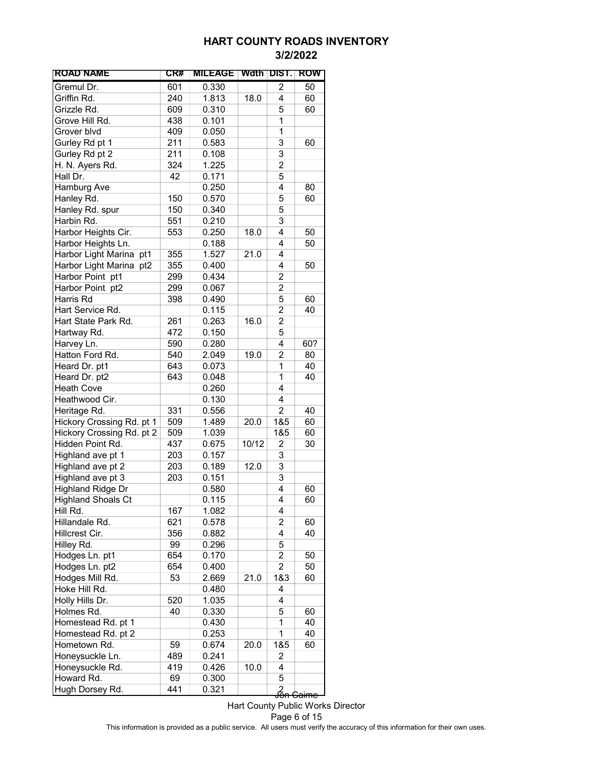| <b>ROAD NAME</b>          | CR# | <b>MILEAGE</b> | Wdth  | <b>DIST.</b>        | ROW              |
|---------------------------|-----|----------------|-------|---------------------|------------------|
| Gremul Dr.                | 601 | 0.330          |       | 2                   | 50               |
| Griffin Rd.               | 240 | 1.813          | 18.0  | 4                   | 60               |
| Grizzle Rd.               | 609 | 0.310          |       | 5                   | 60               |
| Grove Hill Rd.            | 438 | 0.101          |       | 1                   |                  |
| Grover blvd               | 409 | 0.050          |       | 1                   |                  |
| Gurley Rd pt 1            | 211 | 0.583          |       | 3                   | 60               |
| Gurley Rd pt 2            | 211 | 0.108          |       | 3                   |                  |
| H. N. Ayers Rd.           | 324 | 1.225          |       | 2                   |                  |
| Hall Dr.                  | 42  | 0.171          |       | 5                   |                  |
| Hamburg Ave               |     | 0.250          |       | 4                   | 80               |
| Hanley Rd.                | 150 | 0.570          |       | 5                   | 60               |
| Hanley Rd. spur           | 150 | 0.340          |       | 5                   |                  |
| Harbin Rd.                | 551 | 0.210          |       | 3                   |                  |
| Harbor Heights Cir.       | 553 | 0.250          | 18.0  | 4                   | 50               |
| Harbor Heights Ln.        |     | 0.188          |       | 4                   | 50               |
| Harbor Light Marina pt1   | 355 | 1.527          | 21.0  | 4                   |                  |
| Harbor Light Marina pt2   | 355 | 0.400          |       | 4                   | 50               |
| Harbor Point pt1          | 299 | 0.434          |       | 2                   |                  |
| Harbor Point pt2          | 299 | 0.067          |       | 2                   |                  |
| Harris Rd                 | 398 | 0.490          |       | 5                   | 60               |
| Hart Service Rd.          |     | 0.115          |       | $\overline{c}$      | 40               |
| Hart State Park Rd.       | 261 | 0.263          | 16.0  | $\overline{c}$      |                  |
| Hartway Rd.               | 472 | 0.150          |       | 5                   |                  |
| Harvey Ln.                | 590 | 0.280          |       | 4                   | 60?              |
| Hatton Ford Rd.           | 540 | 2.049          | 19.0  | 2                   | 80               |
| Heard Dr. pt1             | 643 | 0.073          |       | 1                   | 40               |
| Heard Dr. pt2             | 643 | 0.048          |       | 1                   | 40               |
| <b>Heath Cove</b>         |     | 0.260          |       | 4                   |                  |
| Heathwood Cir.            |     | 0.130          |       | 4                   |                  |
| Heritage Rd.              | 331 | 0.556          |       | $\overline{c}$      | 40               |
| Hickory Crossing Rd. pt 1 | 509 | 1.489          | 20.0  | 1&5                 | 60               |
| Hickory Crossing Rd. pt 2 | 509 | 1.039          |       | 1&5                 | 60               |
| Hidden Point Rd.          | 437 | 0.675          | 10/12 | 2                   | 30               |
| Highland ave pt 1         | 203 | 0.157          |       | 3                   |                  |
| Highland ave pt 2         | 203 | 0.189          | 12.0  | 3                   |                  |
| Highland ave pt 3         | 203 | 0.151          |       | 3                   |                  |
| <b>Highland Ridge Dr</b>  |     | 0.580          |       | 4                   | 60               |
| <b>Highland Shoals Ct</b> |     | 0.115          |       | 4                   | 60               |
| Hill Rd.                  | 167 | 1.082          |       | 4                   |                  |
| Hillandale Rd.            | 621 | 0.578          |       | 2                   | 60               |
| Hillcrest Cir.            | 356 | 0.882          |       | 4                   | 40               |
| Hilley Rd.                | 99  | 0.296          |       | 5                   |                  |
| Hodges Ln. pt1            | 654 | 0.170          |       | $\overline{c}$      | 50               |
| Hodges Ln. pt2            | 654 | 0.400          |       | $\overline{2}$      | 50               |
| Hodges Mill Rd.           | 53  | 2.669          | 21.0  | 1&3                 | 60               |
| Hoke Hill Rd.             |     | 0.480          |       | 4                   |                  |
| Holly Hills Dr.           | 520 | 1.035          |       | 4                   |                  |
| Holmes Rd.                | 40  | 0.330          |       | 5                   | 60               |
| Homestead Rd. pt 1        |     | 0.430          |       | 1                   | 40               |
| Homestead Rd. pt 2        |     | 0.253          |       | 1                   | 40               |
| Hometown Rd.              | 59  | 0.674          | 20.0  | 1&5                 | 60               |
| Honeysuckle Ln.           | 489 | 0.241          |       | 2                   |                  |
| Honeysuckle Rd.           | 419 | 0.426          | 10.0  | 4                   |                  |
| Howard Rd.                | 69  | 0.300          |       | 5                   |                  |
| Hugh Dorsey Rd.           | 441 | 0.321          |       | ∫<br><del>Jon</del> | <del>Caimc</del> |

Hart County Public Works Director Page 6 of 15 This information is provided as a public service. All users must verify the accuracy of this information for their own uses.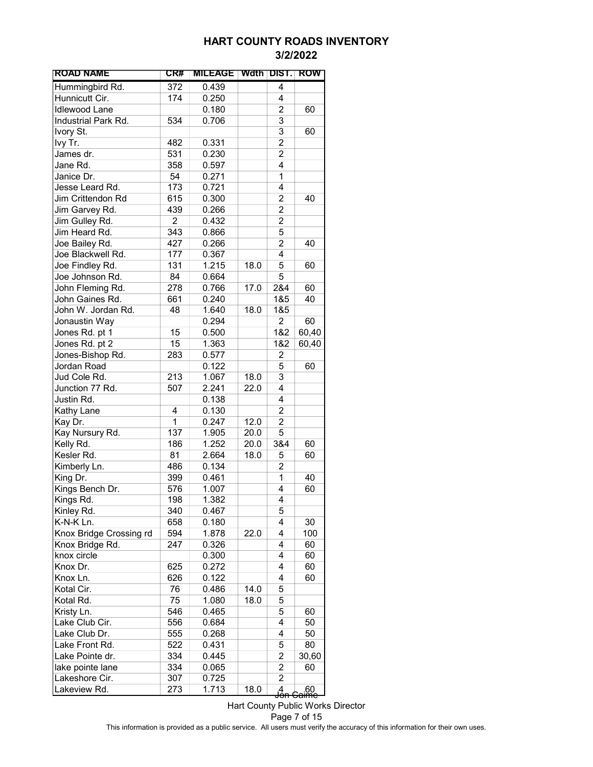| <b>ROAD NAME</b>        | CR#            | <b>MILEAGE</b> | Wdth DIST. |                | <b>ROW</b>             |
|-------------------------|----------------|----------------|------------|----------------|------------------------|
| Hummingbird Rd.         | 372            | 0.439          |            | $\overline{4}$ |                        |
| Hunnicutt Cir.          | 174            | 0.250          |            | 4              |                        |
| <b>Idlewood Lane</b>    |                | 0.180          |            | $\overline{c}$ | 60                     |
| Industrial Park Rd.     | 534            | 0.706          |            | $\overline{3}$ |                        |
| Ivory St.               |                |                |            | 3              | 60                     |
| lvy Tr.                 | 482            | 0.331          |            | $\overline{2}$ |                        |
| James dr.               | 531            | 0.230          |            | $\overline{c}$ |                        |
| Jane Rd.                | 358            | 0.597          |            | 4              |                        |
| Janice Dr.              | 54             | 0.271          |            | 1              |                        |
| Jesse Leard Rd.         | 173            | 0.721          |            | 4              |                        |
| Jim Crittendon Rd       | 615            | 0.300          |            | $\overline{2}$ | 40                     |
| Jim Garvey Rd.          | 439            | 0.266          |            | 2              |                        |
| Jim Gulley Rd.          | $\overline{c}$ | 0.432          |            | 2              |                        |
| Jim Heard Rd.           | 343            | 0.866          |            | 5              |                        |
| Joe Bailey Rd.          | 427            | 0.266          |            | $\overline{2}$ | 40                     |
| Joe Blackwell Rd.       | 177            | 0.367          |            | 4              |                        |
| Joe Findley Rd.         | 131            | 1.215          | 18.0       | 5              | 60                     |
| Joe Johnson Rd.         | 84             | 0.664          |            | 5              |                        |
| John Fleming Rd.        | 278            | 0.766          | 17.0       | 2&4            | 60                     |
| John Gaines Rd.         | 661            | 0.240          |            | 1&5            | 40                     |
| John W. Jordan Rd.      | 48             | 1.640          | 18.0       | 1&5            |                        |
| Jonaustin Way           |                | 0.294          |            | $\overline{2}$ | 60                     |
|                         | 15             |                |            |                |                        |
| Jones Rd. pt 1          |                | 0.500          |            | 1&2            | 60,40                  |
| Jones Rd. pt 2          | 15             | 1.363          |            | 1&2            | 60,40                  |
| Jones-Bishop Rd.        | 283            | 0.577          |            | 2              |                        |
| Jordan Road             |                | 0.122          |            | 5              | 60                     |
| Jud Cole Rd.            | 213            | 1.067          | 18.0       | $\overline{3}$ |                        |
| Junction 77 Rd.         | 507            | 2.241          | 22.0       | 4              |                        |
| Justin Rd.              |                | 0.138          |            | 4              |                        |
| Kathy Lane              | 4              | 0.130          |            | $\overline{c}$ |                        |
| Kay Dr.                 | 1              | 0.247          | 12.0       | $\overline{c}$ |                        |
| Kay Nursury Rd.         | 137            | 1.905          | 20.0       | 5              |                        |
| Kelly Rd.               | 186            | 1.252          | 20.0       | 3&4            | 60                     |
| Kesler Rd.              | 81             | 2.664          | 18.0       | 5              | 60                     |
| Kimberly Ln.            | 486            | 0.134          |            | 2              |                        |
| King Dr.                | 399            | 0.461          |            | $\mathbf 1$    | 40                     |
| Kings Bench Dr.         | 576            | 1.007          |            | 4              | 60                     |
| Kings Rd.               | 198            | 1.382          |            | 4              |                        |
| Kinley Rd.              | 340            | 0.467          |            | 5              |                        |
| K-N-K Ln.               | 658            | 0.180          |            | 4              | 30                     |
| Knox Bridge Crossing rd | 594            | 1.878          | 22.0       | 4              | 100                    |
| Knox Bridge Rd.         | 247            | 0.326          |            | 4              | 60                     |
| knox circle             |                | 0.300          |            | 4              | 60                     |
| Knox Dr.                | 625            | 0.272          |            | 4              | 60                     |
| Knox Ln.                | 626            | 0.122          |            | 4              | 60                     |
| Kotal Cir.              | 76             | 0.486          | 14.0       | 5              |                        |
| Kotal Rd.               | 75             | 1.080          | 18.0       | 5              |                        |
| Kristy Ln.              | 546            | 0.465          |            | 5              | 60                     |
| Lake Club Cir.          | 556            | 0.684          |            | 4              | 50                     |
| Lake Club Dr.           | 555            | 0.268          |            | 4              | 50                     |
| Lake Front Rd.          | 522            | 0.431          |            | 5              | 80                     |
| Lake Pointe dr.         | 334            | 0.445          |            | $\overline{c}$ | 30,60                  |
| lake pointe lane        | 334            | 0.065          |            | 2              | 60                     |
| Lakeshore Cir.          | 307            | 0.725          |            | $\overline{2}$ |                        |
| Lakeview Rd.            | 273            | 1.713          | 18.0       | ga<br>Jon      | 60.<br><del>àime</del> |

Hart County Public Works Director Page 7 of 15 This information is provided as a public service. All users must verify the accuracy of this information for their own uses.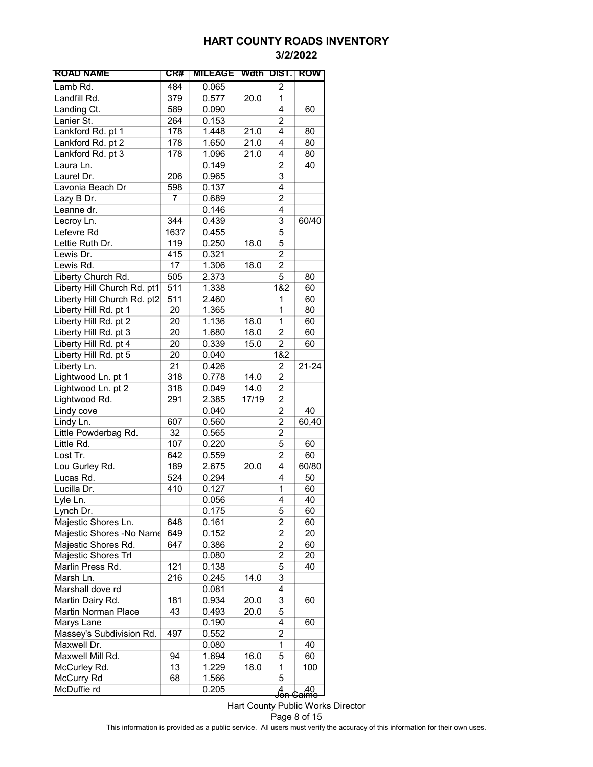| <b>ROAD NAME</b>            | CR#  | <b>MILEAGE</b> | Wdth  | DIST.          | <b>ROW</b>               |
|-----------------------------|------|----------------|-------|----------------|--------------------------|
| Lamb Rd.                    | 484  | 0.065          |       | 2              |                          |
| Landfill Rd.                | 379  | 0.577          | 20.0  | 1              |                          |
| Landing Ct.                 | 589  | 0.090          |       | 4              | 60                       |
| Lanier St.                  | 264  | 0.153          |       | $\overline{c}$ |                          |
| Lankford Rd. pt 1           | 178  | 1.448          | 21.0  | 4              | 80                       |
| Lankford Rd. pt 2           | 178  | 1.650          | 21.0  | 4              | 80                       |
| Lankford Rd. pt 3           | 178  | 1.096          | 21.0  | 4              | 80                       |
| Laura Ln.                   |      | 0.149          |       | 2              | 40                       |
| Laurel Dr.                  | 206  | 0.965          |       | 3              |                          |
| Lavonia Beach Dr            | 598  | 0.137          |       | 4              |                          |
| Lazy B Dr.                  | 7    | 0.689          |       | $\overline{c}$ |                          |
| Leanne dr.                  |      | 0.146          |       | 4              |                          |
| Lecroy Ln.                  | 344  | 0.439          |       | 3              | 60/40                    |
| Lefevre Rd                  | 163? | 0.455          |       | 5              |                          |
| Lettie Ruth Dr.             | 119  | 0.250          | 18.0  | 5              |                          |
| Lewis Dr.                   | 415  | 0.321          |       | $\overline{2}$ |                          |
| Lewis Rd.                   | 17   | 1.306          | 18.0  | $\overline{c}$ |                          |
| Liberty Church Rd.          | 505  | 2.373          |       | $\overline{5}$ | 80                       |
| Liberty Hill Church Rd. pt1 | 511  | 1.338          |       | 1&2            | 60                       |
| Liberty Hill Church Rd. pt2 | 511  | 2.460          |       | 1              | 60                       |
| Liberty Hill Rd. pt 1       | 20   | 1.365          |       | 1              | 80                       |
| Liberty Hill Rd. pt 2       | 20   | 1.136          | 18.0  | 1              | 60                       |
| Liberty Hill Rd. pt 3       | 20   | 1.680          | 18.0  | 2              | 60                       |
| Liberty Hill Rd. pt 4       | 20   | 0.339          | 15.0  | 2              | 60                       |
| Liberty Hill Rd. pt 5       | 20   | 0.040          |       | 1&2            |                          |
| Liberty Ln.                 | 21   | 0.426          |       | 2              | 21-24                    |
| Lightwood Ln. pt 1          | 318  | 0.778          | 14.0  | 2              |                          |
| Lightwood Ln. pt 2          | 318  | 0.049          | 14.0  | 2              |                          |
| Lightwood Rd.               | 291  | 2.385          | 17/19 | $\overline{c}$ |                          |
| Lindy cove                  |      | 0.040          |       | $\overline{c}$ | 40                       |
| Lindy Ln.                   | 607  | 0.560          |       | $\overline{2}$ | 60,40                    |
| Little Powderbag Rd.        | 32   | 0.565          |       | $\overline{c}$ |                          |
| Little Rd.                  | 107  | 0.220          |       | 5              | 60                       |
| Lost Tr.                    | 642  | 0.559          |       | $\overline{c}$ | 60                       |
| Lou Gurley Rd.              | 189  | 2.675          | 20.0  | 4              | 60/80                    |
| Lucas Rd.                   | 524  | 0.294          |       | 4              | 50                       |
| Lucilla Dr.                 | 410  | 0.127          |       | 1              | 60                       |
| Lyle Ln.                    |      | 0.056          |       | 4              | 40                       |
| Lynch Dr.                   |      | 0.175          |       | 5              | 60                       |
| Majestic Shores Ln.         | 648  | 0.161          |       | 2              | 60                       |
| Majestic Shores -No Name    | 649  | 0.152          |       | $\overline{c}$ | 20                       |
| Majestic Shores Rd.         | 647  | 0.386          |       | $\overline{c}$ | 60                       |
| Majestic Shores Trl         |      | 0.080          |       | $\overline{2}$ | 20                       |
| Marlin Press Rd.            | 121  | 0.138          |       | 5              | 40                       |
| Marsh Ln.                   | 216  | 0.245          | 14.0  | 3              |                          |
| Marshall dove rd            |      | 0.081          |       | 4              |                          |
| Martin Dairy Rd.            | 181  | 0.934          | 20.0  | 3              | 60                       |
| Martin Norman Place         | 43   | 0.493          | 20.0  | 5              |                          |
| Marys Lane                  |      | 0.190          |       | 4              | 60                       |
| Massey's Subdivision Rd.    | 497  | 0.552          |       | 2              |                          |
| Maxwell Dr.                 |      | 0.080          |       | 1              | 40                       |
| Maxwell Mill Rd.            | 94   | 1.694          | 16.0  | 5              | 60                       |
| McCurley Rd.                | 13   | 1.229          | 18.0  | 1              | 100                      |
| McCurry Rd                  | 68   | 1.566          |       | 5              |                          |
| McDuffie rd                 |      | 0.205          |       | g<br>Jon       | – 40<br><del>Caimc</del> |

Hart County Public Works Director Page 8 of 15 This information is provided as a public service. All users must verify the accuracy of this information for their own uses.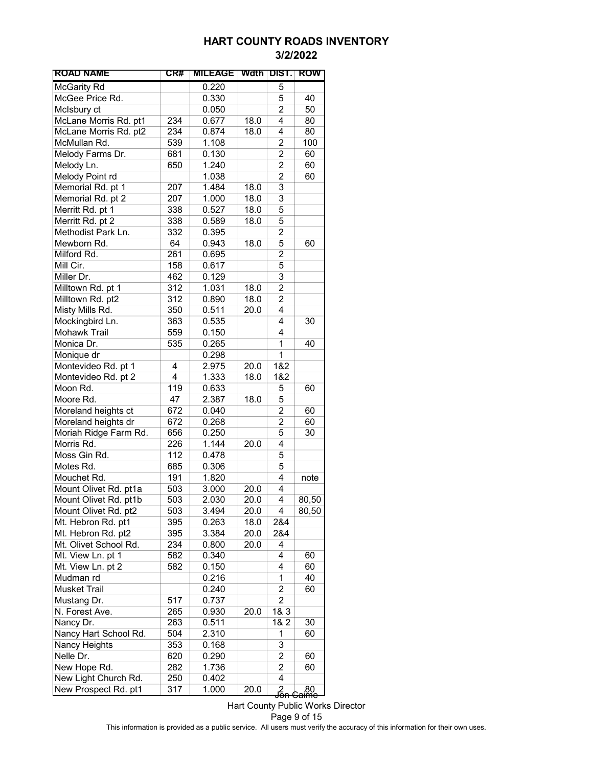| <b>ROAD NAME</b>      | CR# | <b>MILEAGE</b> |      | Wdth DIST.          | ROW                    |
|-----------------------|-----|----------------|------|---------------------|------------------------|
| <b>McGarity Rd</b>    |     | 0.220          |      | 5                   |                        |
| McGee Price Rd.       |     | 0.330          |      | 5                   | 40                     |
| McIsbury ct           |     | 0.050          |      | $\overline{2}$      | 50                     |
| McLane Morris Rd. pt1 | 234 | 0.677          | 18.0 | 4                   | 80                     |
| McLane Morris Rd. pt2 | 234 | 0.874          | 18.0 | 4                   | 80                     |
| McMullan Rd.          | 539 | 1.108          |      | $\overline{2}$      | 100                    |
| Melody Farms Dr.      | 681 | 0.130          |      | $\overline{c}$      | 60                     |
| Melody Ln.            | 650 | 1.240          |      | $\overline{2}$      | 60                     |
| Melody Point rd       |     | 1.038          |      | $\overline{2}$      | 60                     |
| Memorial Rd. pt 1     | 207 | 1.484          | 18.0 | 3                   |                        |
| Memorial Rd. pt 2     | 207 | 1.000          | 18.0 | 3                   |                        |
| Merritt Rd. pt 1      | 338 | 0.527          | 18.0 | 5                   |                        |
| Merritt Rd. pt 2      | 338 | 0.589          | 18.0 | 5                   |                        |
| Methodist Park Ln.    | 332 | 0.395          |      | 2                   |                        |
| Mewborn Rd.           | 64  | 0.943          | 18.0 | 5                   | 60                     |
| Milford Rd.           | 261 | 0.695          |      | $\overline{2}$      |                        |
| Mill Cir.             | 158 | 0.617          |      | $\overline{5}$      |                        |
| Miller Dr.            | 462 | 0.129          |      | 3                   |                        |
| Milltown Rd. pt 1     | 312 | 1.031          | 18.0 | $\overline{c}$      |                        |
| Milltown Rd. pt2      | 312 | 0.890          | 18.0 | $\overline{2}$      |                        |
| Misty Mills Rd.       | 350 | 0.511          | 20.0 | 4                   |                        |
| Mockingbird Ln.       | 363 | 0.535          |      | 4                   | 30                     |
| Mohawk Trail          | 559 | 0.150          |      | 4                   |                        |
| Monica Dr.            | 535 | 0.265          |      | 1                   | 40                     |
| Monique dr            |     | 0.298          |      | 1                   |                        |
| Montevideo Rd. pt 1   | 4   | 2.975          | 20.0 | 1&2                 |                        |
| Montevideo Rd. pt 2   | 4   | 1.333          | 18.0 | 1&2                 |                        |
| Moon Rd.              | 119 | 0.633          |      | 5                   | 60                     |
| Moore Rd.             | 47  | 2.387          | 18.0 | 5                   |                        |
| Moreland heights ct   | 672 | 0.040          |      | $\overline{c}$      | 60                     |
| Moreland heights dr   | 672 | 0.268          |      | $\overline{2}$      | 60                     |
| Moriah Ridge Farm Rd. | 656 | 0.250          |      | 5                   | 30                     |
| Morris Rd.            | 226 | 1.144          | 20.0 | 4                   |                        |
| Moss Gin Rd.          | 112 | 0.478          |      | 5                   |                        |
| Motes Rd.             | 685 | 0.306          |      | 5                   |                        |
| Mouchet Rd.           | 191 | 1.820          |      | 4                   | note                   |
| Mount Olivet Rd. pt1a | 503 | 3.000          | 20.0 | 4                   |                        |
| Mount Olivet Rd. pt1b | 503 | 2.030          | 20.0 | 4                   | 80,50                  |
| Mount Olivet Rd. pt2  | 503 | 3.494          | 20.0 | 4                   | 80,50                  |
| Mt. Hebron Rd. pt1    | 395 | 0.263          | 18.0 | 2&4                 |                        |
| Mt. Hebron Rd. pt2    | 395 | 3.384          | 20.0 | 2&4                 |                        |
| Mt. Olivet School Rd. | 234 | 0.800          | 20.0 | 4                   |                        |
| Mt. View Ln. pt 1     | 582 | 0.340          |      | 4                   | 60                     |
| Mt. View Ln. pt 2     | 582 | 0.150          |      | 4                   | 60                     |
| Mudman rd             |     | 0.216          |      | 1                   | 40                     |
| <b>Musket Trail</b>   |     | 0.240          |      | $\overline{c}$      | 60                     |
| Mustang Dr.           | 517 | 0.737          |      | $\overline{2}$      |                        |
| N. Forest Ave.        | 265 | 0.930          | 20.0 | 1& 3                |                        |
| Nancy Dr.             | 263 | 0.511          |      | 1& 2                | 30                     |
| Nancy Hart School Rd. | 504 | 2.310          |      | 1                   | 60                     |
| Nancy Heights         | 353 | 0.168          |      | 3                   |                        |
| Nelle Dr.             | 620 | 0.290          |      | 2                   | 60                     |
| New Hope Rd.          | 282 | 1.736          |      | 2                   | 60                     |
| New Light Church Rd.  | 250 | 0.402          |      | 4                   |                        |
| New Prospect Rd. pt1  | 317 | 1.000          | 20.0 |                     |                        |
|                       |     |                |      | م<br><del>Jon</del> | 80.<br><del>àime</del> |

Hart County Public Works Director Page 9 of 15 This information is provided as a public service. All users must verify the accuracy of this information for their own uses.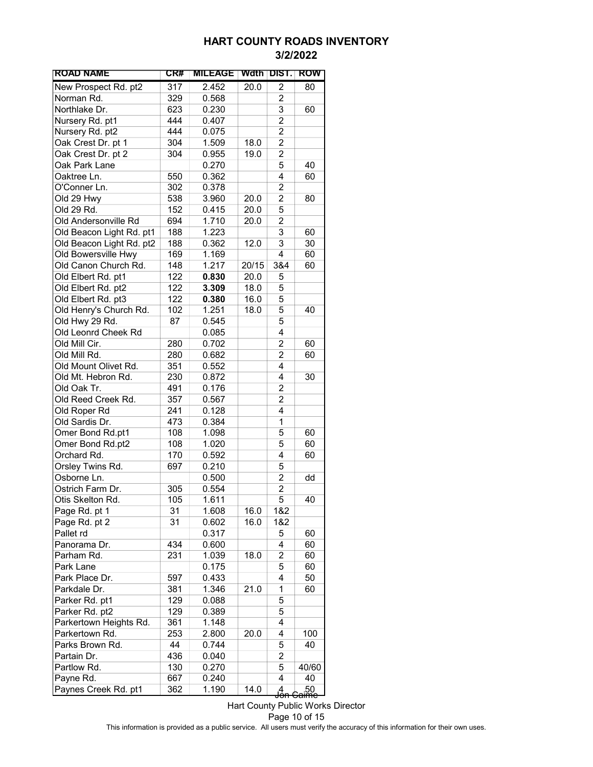| <b>ROAD NAME</b>         | CR# | <b>MILEAGE</b> | Wdth DIST. |                | ROW                   |
|--------------------------|-----|----------------|------------|----------------|-----------------------|
| New Prospect Rd. pt2     | 317 | 2.452          | 20.0       | 2              | 80                    |
| Norman Rd.               | 329 | 0.568          |            | 2              |                       |
| Northlake Dr.            | 623 | 0.230          |            | 3              | 60                    |
| Nursery Rd. pt1          | 444 | 0.407          |            | 2              |                       |
| Nursery Rd. pt2          | 444 | 0.075          |            | 2              |                       |
| Oak Crest Dr. pt 1       | 304 | 1.509          | 18.0       | $\overline{2}$ |                       |
| Oak Crest Dr. pt 2       | 304 | 0.955          | 19.0       | $\overline{2}$ |                       |
| Oak Park Lane            |     | 0.270          |            | 5              | 40                    |
| Oaktree Ln.              | 550 | 0.362          |            | 4              | 60                    |
| O'Conner Ln.             | 302 | 0.378          |            | 2              |                       |
| Old 29 Hwy               | 538 | 3.960          | 20.0       | 2              | 80                    |
| Old 29 Rd.               | 152 | 0.415          | 20.0       | 5              |                       |
| Old Andersonville Rd     | 694 | 1.710          | 20.0       | 2              |                       |
| Old Beacon Light Rd. pt1 | 188 | 1.223          |            | 3              | 60                    |
| Old Beacon Light Rd. pt2 | 188 | 0.362          | 12.0       | 3              | 30                    |
| Old Bowersville Hwy      | 169 | 1.169          |            | $\overline{4}$ | 60                    |
| Old Canon Church Rd.     | 148 | 1.217          | 20/15      | 3&4            | 60                    |
| Old Elbert Rd. pt1       | 122 | 0.830          | 20.0       | 5              |                       |
| Old Elbert Rd. pt2       | 122 | 3.309          | 18.0       | 5              |                       |
| Old Elbert Rd. pt3       | 122 | 0.380          | 16.0       | 5              |                       |
| Old Henry's Church Rd.   | 102 | 1.251          | 18.0       | 5              | 40                    |
| Old Hwy 29 Rd.           | 87  | 0.545          |            | 5              |                       |
| Old Leonrd Cheek Rd      |     | 0.085          |            | 4              |                       |
| Old Mill Cir.            | 280 | 0.702          |            | 2              | 60                    |
| Old Mill Rd.             | 280 | 0.682          |            | 2              | 60                    |
| Old Mount Olivet Rd.     | 351 | 0.552          |            | 4              |                       |
| Old Mt. Hebron Rd.       | 230 | 0.872          |            | 4              | 30                    |
| Old Oak Tr.              | 491 | 0.176          |            | 2              |                       |
| Old Reed Creek Rd.       | 357 | 0.567          |            | 2              |                       |
| Old Roper Rd             | 241 | 0.128          |            | 4              |                       |
| Old Sardis Dr.           | 473 | 0.384          |            | 1              |                       |
| Omer Bond Rd.pt1         | 108 | 1.098          |            | 5              | 60                    |
| Omer Bond Rd.pt2         | 108 | 1.020          |            | 5              | 60                    |
| Orchard Rd.              | 170 | 0.592          |            | 4              | 60                    |
| Orsley Twins Rd.         | 697 | 0.210          |            | 5              |                       |
| Osborne Ln.              |     | 0.500          |            | $\overline{2}$ | dd                    |
| Ostrich Farm Dr.         | 305 | 0.554          |            | 2              |                       |
| Otis Skelton Rd.         | 105 | 1.611          |            | $\overline{5}$ | 40                    |
| Page Rd. pt 1            | 31  | 1.608          | 16.0       | 1&2            |                       |
| Page Rd. pt 2            | 31  | 0.602          | 16.0       | 1&2            |                       |
| Pallet rd                |     | 0.317          |            | 5              | 60                    |
| Panorama Dr.             | 434 | 0.600          |            | 4              | 60                    |
| Parham Rd.               | 231 | 1.039          | 18.0       | 2              | 60                    |
| Park Lane                |     | 0.175          |            | 5              | 60                    |
| Park Place Dr.           | 597 | 0.433          |            | 4              | 50                    |
| Parkdale Dr.             | 381 | 1.346          | 21.0       | 1              | 60                    |
| Parker Rd. pt1           |     |                |            | 5              |                       |
|                          | 129 | 0.088          |            |                |                       |
| Parker Rd. pt2           | 129 | 0.389          |            | 5              |                       |
| Parkertown Heights Rd.   | 361 | 1.148          |            | 4              |                       |
| Parkertown Rd.           | 253 | 2.800          | 20.0       | 4              | 100                   |
| Parks Brown Rd.          | 44  | 0.744          |            | 5              | 40                    |
| Partain Dr.              | 436 | 0.040          |            | 2              |                       |
| Partlow Rd.              | 130 | 0.270          |            | 5              | 40/60                 |
| Payne Rd.                | 667 | 0.240          |            | 4              | 40                    |
| Paynes Creek Rd. pt1     | 362 | 1.190          | 14.0       | <del>Jón</del> | l<br><del>Saime</del> |

Hart County Public Works Director Page 10 of 15 This information is provided as a public service. All users must verify the accuracy of this information for their own uses.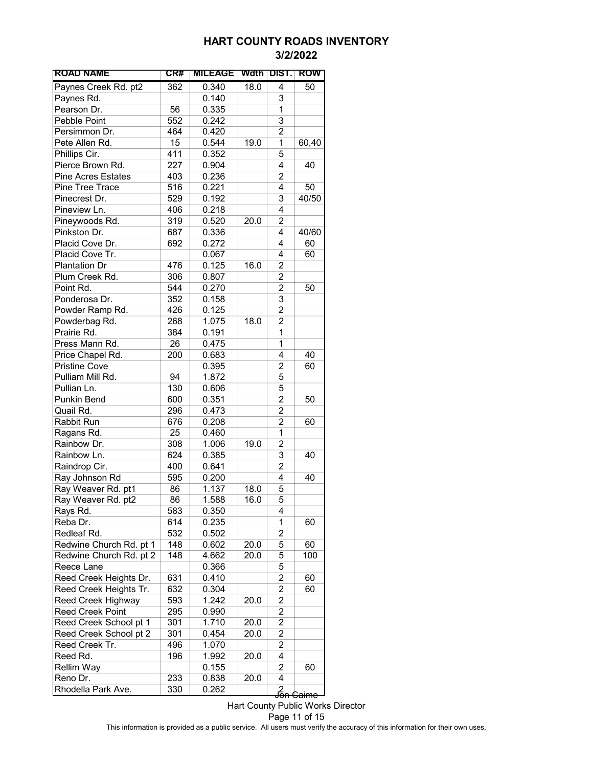| <b>ROAD NAME</b>          | CR# | <b>MILEAGE</b> |      | Wath DIST.      | ROW              |
|---------------------------|-----|----------------|------|-----------------|------------------|
| Paynes Creek Rd. pt2      | 362 | 0.340          | 18.0 | 4               | 50               |
| Paynes Rd.                |     | 0.140          |      | 3               |                  |
| Pearson Dr.               | 56  | 0.335          |      | 1               |                  |
| Pebble Point              | 552 | 0.242          |      | 3               |                  |
| Persimmon Dr.             | 464 | 0.420          |      | $\overline{c}$  |                  |
| Pete Allen Rd.            | 15  | 0.544          | 19.0 | $\mathbf{1}$    | 60,40            |
| Phillips Cir.             | 411 | 0.352          |      | 5               |                  |
| Pierce Brown Rd.          | 227 | 0.904          |      | 4               | 40               |
| <b>Pine Acres Estates</b> | 403 | 0.236          |      | 2               |                  |
| Pine Tree Trace           | 516 | 0.221          |      | 4               | 50               |
| Pinecrest Dr.             | 529 | 0.192          |      | 3               | 40/50            |
| Pineview Ln.              | 406 | 0.218          |      | 4               |                  |
| Pineywoods Rd.            | 319 | 0.520          | 20.0 | 2               |                  |
| Pinkston Dr.              | 687 | 0.336          |      | 4               | 40/60            |
| Placid Cove Dr.           | 692 | 0.272          |      | 4               | 60               |
| Placid Cove Tr.           |     | 0.067          |      | 4               | 60               |
| <b>Plantation Dr</b>      | 476 | 0.125          | 16.0 | 2               |                  |
| Plum Creek Rd.            | 306 |                |      | $\overline{2}$  |                  |
| Point Rd.                 |     | 0.807          |      |                 |                  |
|                           | 544 | 0.270          |      | $\overline{c}$  | 50               |
| Ponderosa Dr.             | 352 | 0.158          |      | 3               |                  |
| Powder Ramp Rd.           | 426 | 0.125          |      | 2               |                  |
| Powderbag Rd.             | 268 | 1.075          | 18.0 | 2               |                  |
| Prairie Rd.               | 384 | 0.191          |      | 1               |                  |
| Press Mann Rd.            | 26  | 0.475          |      | 1               |                  |
| Price Chapel Rd.          | 200 | 0.683          |      | 4               | 40               |
| <b>Pristine Cove</b>      |     | 0.395          |      | 2               | 60               |
| Pulliam Mill Rd.          | 94  | 1.872          |      | 5               |                  |
| Pullian Ln.               | 130 | 0.606          |      | 5               |                  |
| Punkin Bend               | 600 | 0.351          |      | $\overline{c}$  | 50               |
| Quail Rd.                 | 296 | 0.473          |      | $\overline{c}$  |                  |
| Rabbit Run                | 676 | 0.208          |      | $\overline{c}$  | 60               |
| Ragans Rd.                | 25  | 0.460          |      | $\mathbf 1$     |                  |
| Rainbow Dr.               | 308 | 1.006          | 19.0 | $\overline{c}$  |                  |
| Rainbow Ln.               | 624 | 0.385          |      | 3               | 40               |
| Raindrop Cir.             | 400 | 0.641          |      | $\overline{c}$  |                  |
| Ray Johnson Rd            | 595 | 0.200          |      | 4               | 40               |
| Ray Weaver Rd. pt1        | 86  | 1.137          | 18.0 | 5               |                  |
| Ray Weaver Rd. pt2        | 86  | 1.588          | 16.0 | 5               |                  |
| Rays Rd.                  | 583 | 0.350          |      | 4               |                  |
| Reba Dr.                  | 614 | 0.235          |      | 1               | 60               |
| Redleaf Rd.               | 532 | 0.502          |      | $\overline{c}$  |                  |
| Redwine Church Rd. pt 1   | 148 | 0.602          | 20.0 | 5               | 60               |
| Redwine Church Rd. pt 2   | 148 | 4.662          | 20.0 | 5               | 100              |
| Reece Lane                |     | 0.366          |      | 5               |                  |
| Reed Creek Heights Dr.    | 631 | 0.410          |      | 2               | 60               |
| Reed Creek Heights Tr.    | 632 | 0.304          |      | $\overline{c}$  | 60               |
| Reed Creek Highway        | 593 | 1.242          | 20.0 | 2               |                  |
| <b>Reed Creek Point</b>   | 295 | 0.990          |      | 2               |                  |
| Reed Creek School pt 1    | 301 | 1.710          | 20.0 | 2               |                  |
| Reed Creek School pt 2    | 301 | 0.454          | 20.0 | 2               |                  |
| Reed Creek Tr.            | 496 | 1.070          |      | 2               |                  |
| Reed Rd.                  | 196 | 1.992          | 20.0 | 4               |                  |
| <b>Rellim Way</b>         |     | 0.155          |      | 2               | 60               |
|                           | 233 |                |      | 4               |                  |
| Reno Dr.                  |     | 0.838          | 20.0 |                 |                  |
| Rhodella Park Ave.        | 330 | 0.262          |      | <u>႕</u><br>၂၀၈ | <del>Caimc</del> |

Hart County Public Works Director Page 11 of 15 This information is provided as a public service. All users must verify the accuracy of this information for their own uses.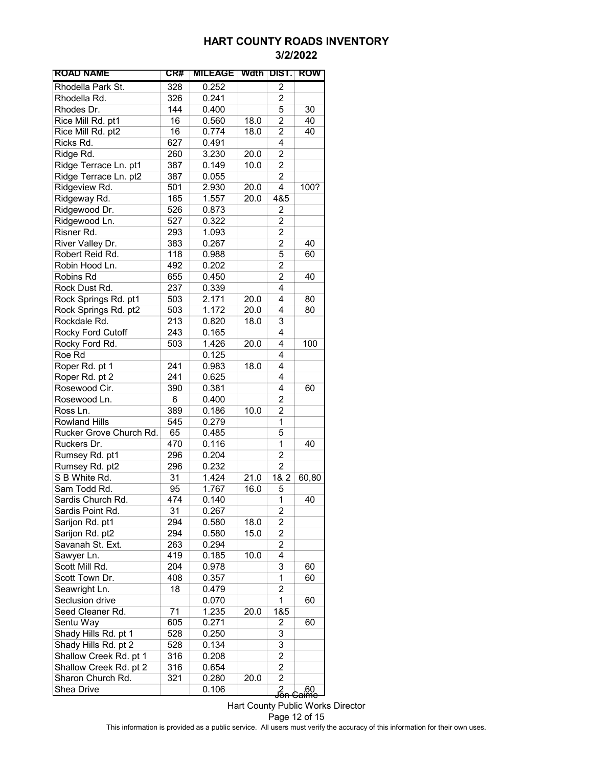| <b>ROAD NAME</b>        | CR# | <b>MILEAGE</b> | Wdth | TDIST.             | <b>ROW</b>              |
|-------------------------|-----|----------------|------|--------------------|-------------------------|
| Rhodella Park St.       | 328 | 0.252          |      | 2                  |                         |
| Rhodella Rd.            | 326 | 0.241          |      | 2                  |                         |
| Rhodes Dr.              | 144 | 0.400          |      | 5                  | 30                      |
| Rice Mill Rd. pt1       | 16  | 0.560          | 18.0 | $\overline{c}$     | 40                      |
| Rice Mill Rd. pt2       | 16  | 0.774          | 18.0 | $\overline{2}$     | 40                      |
| Ricks Rd.               | 627 | 0.491          |      | 4                  |                         |
| Ridge Rd.               | 260 | 3.230          | 20.0 | $\overline{c}$     |                         |
| Ridge Terrace Ln. pt1   | 387 | 0.149          | 10.0 | $\overline{2}$     |                         |
| Ridge Terrace Ln. pt2   | 387 | 0.055          |      | $\overline{2}$     |                         |
| Ridgeview Rd.           | 501 | 2.930          | 20.0 | 4                  | 100?                    |
| Ridgeway Rd.            | 165 | 1.557          | 20.0 | 4&5                |                         |
| Ridgewood Dr.           | 526 | 0.873          |      | 2                  |                         |
| Ridgewood Ln.           | 527 | 0.322          |      | 2                  |                         |
| Risner Rd.              | 293 | 1.093          |      | 2                  |                         |
| River Valley Dr.        | 383 | 0.267          |      | 2                  | 40                      |
| Robert Reid Rd.         | 118 | 0.988          |      | 5                  | 60                      |
| Robin Hood Ln.          | 492 | 0.202          |      | $\overline{2}$     |                         |
| Robins Rd               | 655 | 0.450          |      | $\overline{2}$     | 40                      |
| Rock Dust Rd.           | 237 | 0.339          |      | 4                  |                         |
| Rock Springs Rd. pt1    | 503 | 2.171          | 20.0 | 4                  | 80                      |
| Rock Springs Rd. pt2    | 503 | 1.172          | 20.0 | 4                  | 80                      |
| Rockdale Rd.            | 213 | 0.820          | 18.0 | 3                  |                         |
| Rocky Ford Cutoff       | 243 | 0.165          |      | 4                  |                         |
| Rocky Ford Rd.          | 503 | 1.426          | 20.0 | 4                  | 100                     |
| Roe Rd                  |     | 0.125          |      | 4                  |                         |
| Roper Rd. pt 1          | 241 | 0.983          | 18.0 | 4                  |                         |
| Roper Rd. pt 2          | 241 | 0.625          |      | 4                  |                         |
| Rosewood Cir.           | 390 | 0.381          |      | 4                  | 60                      |
| Rosewood Ln.            | 6   | 0.400          |      | 2                  |                         |
| Ross Ln.                | 389 | 0.186          | 10.0 | $\overline{2}$     |                         |
| <b>Rowland Hills</b>    | 545 | 0.279          |      | 1                  |                         |
| Rucker Grove Church Rd. | 65  | 0.485          |      | 5                  |                         |
| Ruckers Dr.             | 470 | 0.116          |      | 1                  | 40                      |
| Rumsey Rd. pt1          | 296 | 0.204          |      | $\overline{2}$     |                         |
| Rumsey Rd. pt2          | 296 | 0.232          |      | 2                  |                         |
| S B White Rd.           | 31  | 1.424          | 21.0 | 1& 2               | 60,80                   |
| Sam Todd Rd.            | 95  | 1.767          | 16.0 | 5                  |                         |
| Sardis Church Rd.       | 474 | 0.140          |      | 1                  | 40                      |
| Sardis Point Rd.        | 31  | 0.267          |      | 2                  |                         |
| Sarijon Rd. pt1         | 294 | 0.580          | 18.0 | 2                  |                         |
| Sarijon Rd. pt2         | 294 | 0.580          | 15.0 | 2                  |                         |
| Savanah St. Ext.        | 263 | 0.294          |      | $\overline{c}$     |                         |
| Sawyer Ln.              | 419 | 0.185          | 10.0 | 4                  |                         |
| Scott Mill Rd.          | 204 | 0.978          |      | 3                  | 60                      |
| Scott Town Dr.          | 408 | 0.357          |      | 1                  | 60                      |
| Seawright Ln.           | 18  | 0.479          |      | 2                  |                         |
| Seclusion drive         |     | 0.070          |      | 1                  | 60                      |
| Seed Cleaner Rd.        | 71  | 1.235          | 20.0 | 1&5                |                         |
| Sentu Way               | 605 | 0.271          |      | 2                  | 60                      |
| Shady Hills Rd. pt 1    | 528 | 0.250          |      | 3                  |                         |
| Shady Hills Rd. pt 2    | 528 | 0.134          |      | 3                  |                         |
| Shallow Creek Rd. pt 1  | 316 | 0.208          |      | 2                  |                         |
| Shallow Creek Rd. pt 2  | 316 | 0.654          |      | 2                  |                         |
| Sharon Church Rd.       | 321 | 0.280          | 20.0 | $\overline{2}$     |                         |
| Shea Drive              |     | 0.106          |      | م<br><del>Sh</del> | _60<br><del>Caime</del> |

Hart County Public Works Director Page 12 of 15 This information is provided as a public service. All users must verify the accuracy of this information for their own uses.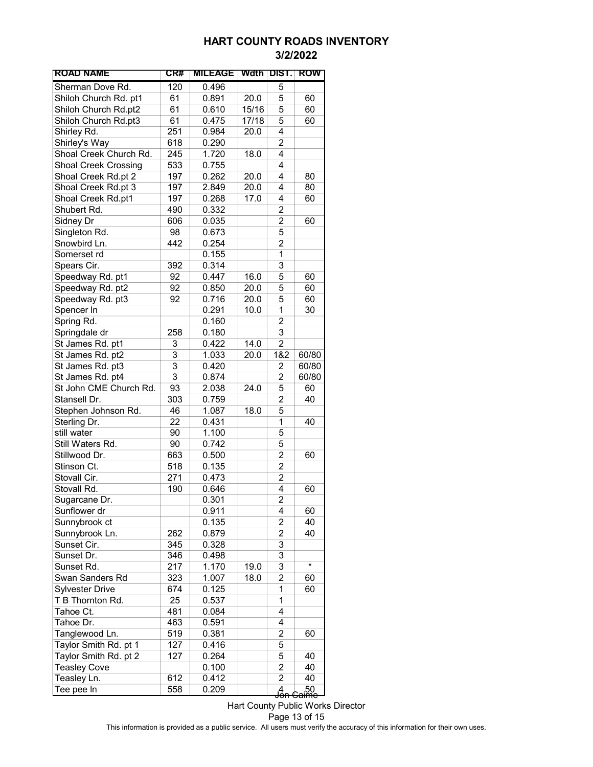| <b>ROAD NAME</b>            | CR#            | <b>MILEAGE</b> | Wdth  | DIST.                   | ROW                    |
|-----------------------------|----------------|----------------|-------|-------------------------|------------------------|
| Sherman Dove Rd.            | 120            | 0.496          |       | 5                       |                        |
| Shiloh Church Rd. pt1       | 61             | 0.891          | 20.0  | 5                       | 60                     |
| Shiloh Church Rd.pt2        | 61             | 0.610          | 15/16 | 5                       | 60                     |
| Shiloh Church Rd.pt3        | 61             | 0.475          | 17/18 | 5                       | 60                     |
| Shirley Rd.                 | 251            | 0.984          | 20.0  | 4                       |                        |
| Shirley's Way               | 618            | 0.290          |       | $\overline{c}$          |                        |
| Shoal Creek Church Rd.      | 245            | 1.720          | 18.0  | 4                       |                        |
| <b>Shoal Creek Crossing</b> | 533            | 0.755          |       | 4                       |                        |
| Shoal Creek Rd.pt 2         | 197            | 0.262          | 20.0  | 4                       | 80                     |
| Shoal Creek Rd.pt 3         | 197            | 2.849          | 20.0  | 4                       | 80                     |
| Shoal Creek Rd.pt1          | 197            | 0.268          | 17.0  | 4                       | 60                     |
| Shubert Rd.                 | 490            | 0.332          |       | 2                       |                        |
| Sidney Dr                   | 606            | 0.035          |       | 2                       | 60                     |
| Singleton Rd.               | 98             | 0.673          |       | 5                       |                        |
| Snowbird Ln.                | 442            | 0.254          |       | $\overline{2}$          |                        |
| Somerset rd                 |                | 0.155          |       | 1                       |                        |
| Spears Cir.                 | 392            | 0.314          |       | 3                       |                        |
| Speedway Rd. pt1            | 92             | 0.447          | 16.0  | 5                       | 60                     |
| Speedway Rd. pt2            | 92             | 0.850          | 20.0  | 5                       | 60                     |
| Speedway Rd. pt3            | 92             | 0.716          | 20.0  | 5                       | 60                     |
| Spencer In                  |                | 0.291          | 10.0  | 1                       | 30                     |
| Spring Rd.                  |                | 0.160          |       | $\overline{2}$          |                        |
| Springdale dr               | 258            | 0.180          |       | 3                       |                        |
| St James Rd. pt1            | 3              | 0.422          | 14.0  | $\overline{c}$          |                        |
| St James Rd. pt2            | $\overline{3}$ | 1.033          | 20.0  | 1&2                     | 60/80                  |
| St James Rd. pt3            | $\overline{3}$ | 0.420          |       | 2                       | 60/80                  |
| St James Rd. pt4            | $\overline{3}$ | 0.874          |       | 2                       | 60/80                  |
| St John CME Church Rd.      | 93             | 2.038          | 24.0  | 5                       | 60                     |
| Stansell Dr.                | 303            | 0.759          |       | $\overline{2}$          | 40                     |
| Stephen Johnson Rd.         | 46             | 1.087          | 18.0  | 5                       |                        |
| Sterling Dr.                | 22             | 0.431          |       | 1                       | 40                     |
| still water                 | 90             | 1.100          |       | 5                       |                        |
| Still Waters Rd.            | 90             | 0.742          |       | 5                       |                        |
| Stillwood Dr.               | 663            | 0.500          |       | $\overline{c}$          | 60                     |
| Stinson Ct.                 | 518            | 0.135          |       | $\overline{c}$          |                        |
| Stovall Cir.                | 271            | 0.473          |       | $\overline{c}$          |                        |
| Stovall Rd.                 | 190            | 0.646          |       | 4                       | 60                     |
| Sugarcane Dr.               |                | 0.301          |       | $\overline{\mathbf{c}}$ |                        |
| Sunflower dr                |                | 0.911          |       | 4                       | 60                     |
| Sunnybrook ct               |                | 0.135          |       | 2                       | 40                     |
| Sunnybrook Ln.              | 262            | 0.879          |       | $\overline{c}$          | 40                     |
| Sunset Cir.                 | 345            | 0.328          |       | 3                       |                        |
| Sunset Dr.                  | 346            | 0.498          |       | 3                       |                        |
| Sunset Rd.                  | 217            | 1.170          | 19.0  | 3                       | $\star$                |
| Swan Sanders Rd             | 323            | 1.007          | 18.0  | $\overline{c}$          | 60                     |
| <b>Sylvester Drive</b>      | 674            | 0.125          |       | 1                       | 60                     |
| T B Thornton Rd.            | 25             | 0.537          |       | 1                       |                        |
| Tahoe Ct.                   | 481            | 0.084          |       | 4                       |                        |
| Tahoe Dr.                   | 463            | 0.591          |       | 4                       |                        |
| Tanglewood Ln.              | 519            | 0.381          |       | 2                       | 60                     |
| Taylor Smith Rd. pt 1       | 127            | 0.416          |       | 5                       |                        |
| Taylor Smith Rd. pt 2       | 127            | 0.264          |       | 5                       | 40                     |
| <b>Teasley Cove</b>         |                | 0.100          |       | $\overline{c}$          | 40                     |
| Teasley Ln.                 | 612            | 0.412          |       | $\overline{c}$          | 40                     |
| Tee pee In                  | 558            | 0.209          |       | g<br>Jon                | 50.<br><del>aime</del> |

Hart County Public Works Director Page 13 of 15 This information is provided as a public service. All users must verify the accuracy of this information for their own uses.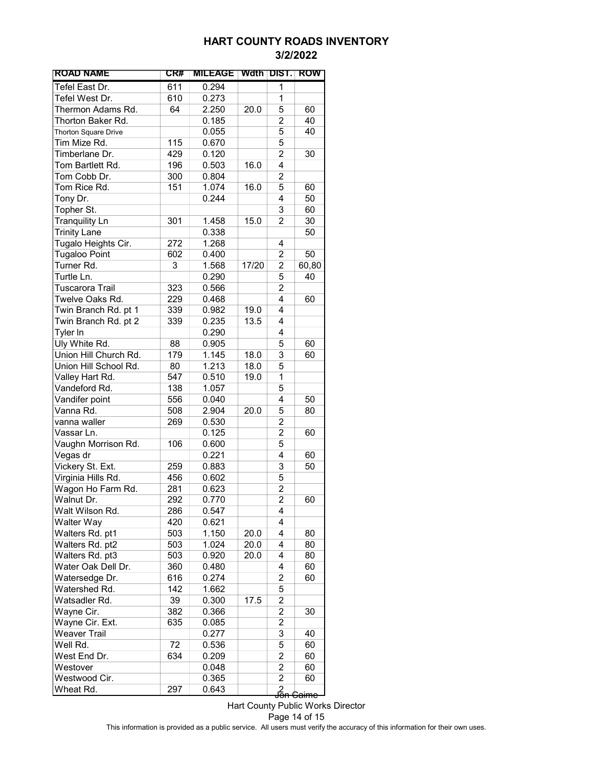| <b>ROAD NAME</b>      | CR# | <b>MILEAGE</b> | Wdth  | DIST.               | <b>ROW</b>       |
|-----------------------|-----|----------------|-------|---------------------|------------------|
| Tefel East Dr.        | 611 | 0.294          |       | 1                   |                  |
| Tefel West Dr.        | 610 | 0.273          |       | 1                   |                  |
| Thermon Adams Rd.     | 64  | 2.250          | 20.0  | 5                   | 60               |
| Thorton Baker Rd.     |     | 0.185          |       | $\overline{2}$      | 40               |
| Thorton Square Drive  |     | 0.055          |       | 5                   | 40               |
| Tim Mize Rd.          | 115 | 0.670          |       | 5                   |                  |
| Timberlane Dr.        | 429 | 0.120          |       | $\overline{c}$      | 30               |
| Tom Bartlett Rd.      | 196 | 0.503          | 16.0  | 4                   |                  |
| Tom Cobb Dr.          | 300 | 0.804          |       | $\overline{2}$      |                  |
| Tom Rice Rd.          | 151 | 1.074          | 16.0  | 5                   | 60               |
| Tony Dr.              |     | 0.244          |       | 4                   | 50               |
| Topher St.            |     |                |       | 3                   | 60               |
| <b>Tranquility Ln</b> | 301 | 1.458          | 15.0  | 2                   | 30               |
| <b>Trinity Lane</b>   |     | 0.338          |       |                     | 50               |
| Tugalo Heights Cir.   | 272 | 1.268          |       | 4                   |                  |
| Tugaloo Point         | 602 | 0.400          |       | 2                   | 50               |
| Turner Rd.            | 3   | 1.568          | 17/20 | 2                   | 60,80            |
| Turtle Ln.            |     | 0.290          |       | $\overline{5}$      | 40               |
| Tuscarora Trail       | 323 | 0.566          |       | $\overline{c}$      |                  |
| Twelve Oaks Rd.       | 229 | 0.468          |       | 4                   | 60               |
| Twin Branch Rd. pt 1  | 339 | 0.982          | 19.0  | 4                   |                  |
| Twin Branch Rd. pt 2  | 339 | 0.235          | 13.5  | 4                   |                  |
| Tyler In              |     | 0.290          |       | 4                   |                  |
| Uly White Rd.         | 88  | 0.905          |       | 5                   | 60               |
| Union Hill Church Rd. | 179 | 1.145          | 18.0  | 3                   | 60               |
| Union Hill School Rd. | 80  | 1.213          | 18.0  | 5                   |                  |
| Valley Hart Rd.       | 547 | 0.510          | 19.0  | 1                   |                  |
| Vandeford Rd.         | 138 | 1.057          |       | 5                   |                  |
| Vandifer point        | 556 | 0.040          |       | 4                   | 50               |
| Vanna Rd.             | 508 | 2.904          | 20.0  | 5                   | 80               |
| vanna waller          | 269 | 0.530          |       | $\overline{2}$      |                  |
| Vassar Ln.            |     | 0.125          |       | $\overline{2}$      | 60               |
| Vaughn Morrison Rd.   | 106 | 0.600          |       | 5                   |                  |
| Vegas dr              |     | 0.221          |       | 4                   | 60               |
| Vickery St. Ext.      | 259 | 0.883          |       | 3                   | 50               |
| Virginia Hills Rd.    | 456 | 0.602          |       | 5                   |                  |
| Wagon Ho Farm Rd.     | 281 | 0.623          |       | 2                   |                  |
| Walnut Dr.            | 292 | 0.770          |       | $\overline{2}$      | 60               |
| Walt Wilson Rd.       | 286 | 0.547          |       | 4                   |                  |
| Walter Way            | 420 | 0.621          |       | 4                   |                  |
| Walters Rd. pt1       | 503 | 1.150          | 20.0  | 4                   | 80               |
| Walters Rd. pt2       | 503 | 1.024          | 20.0  | 4                   | 80               |
| Walters Rd. pt3       | 503 | 0.920          | 20.0  | 4                   | 80               |
| Water Oak Dell Dr.    | 360 | 0.480          |       | 4                   | 60               |
| Watersedge Dr.        | 616 | 0.274          |       | $\overline{c}$      | 60               |
| Watershed Rd.         | 142 | 1.662          |       | 5                   |                  |
| Watsadler Rd.         | 39  | 0.300          | 17.5  | $\overline{c}$      |                  |
| Wayne Cir.            | 382 | 0.366          |       | $\overline{c}$      | 30               |
| Wayne Cir. Ext.       | 635 | 0.085          |       | 2                   |                  |
| Weaver Trail          |     | 0.277          |       | 3                   | 40               |
| Well Rd.              | 72  | 0.536          |       | 5                   | 60               |
| West End Dr.          | 634 | 0.209          |       | 2                   | 60               |
| Westover              |     | 0.048          |       | 2                   | 60               |
| Westwood Cir.         |     | 0.365          |       | $\overline{c}$      | 60               |
| Wheat Rd.             | 297 | 0.643          |       | ∫<br><del>Jon</del> | <del>Caimc</del> |

Hart County Public Works Director Page 14 of 15 This information is provided as a public service. All users must verify the accuracy of this information for their own uses.